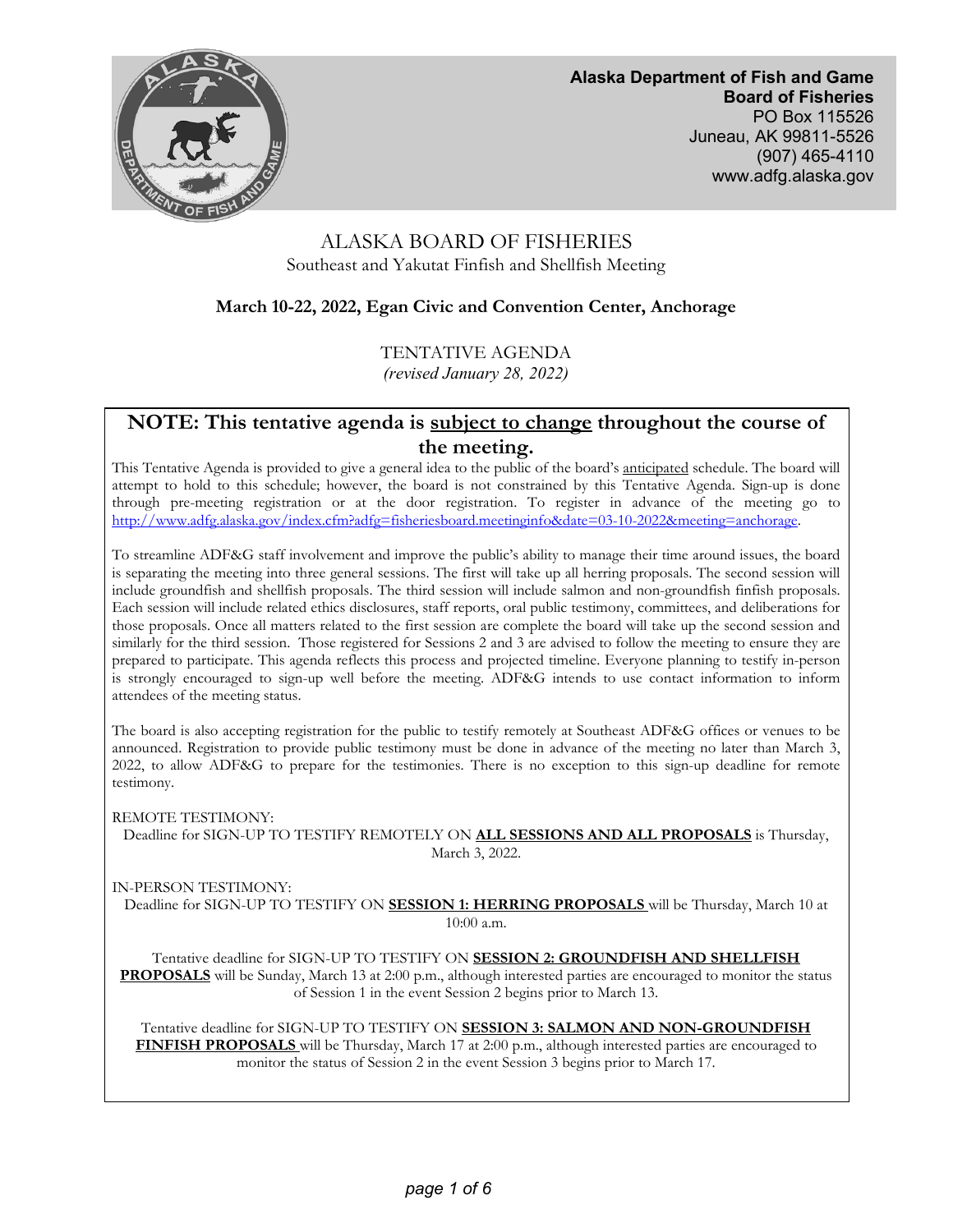

**Alaska Department of Fish and Game Board of Fisheries**  PO Box 115526 Juneau, AK 99811-5526 (907) 465-4110 www.adfg.alaska.gov

# ALASKA BOARD OF FISHERIES Southeast and Yakutat Finfish and Shellfish Meeting

# **March 10-22, 2022, Egan Civic and Convention Center, Anchorage**

TENTATIVE AGENDA

*(revised January 28, 2022)*

# **NOTE: This tentative agenda is subject to change throughout the course of the meeting.**

This Tentative Agenda is provided to give a general idea to the public of the board's anticipated schedule. The board will attempt to hold to this schedule; however, the board is not constrained by this Tentative Agenda. Sign-up is done through pre-meeting registration or at the door registration. To register in advance of the meeting go to [http://www.adfg.alaska.gov/index.cfm?adfg=fisheriesboard.meetinginfo&date=03-10-2022&meeting=anchorage.](http://www.adfg.alaska.gov/index.cfm?adfg=fisheriesboard.meetinginfo&date=03-10-2022&meeting=anchorage) 

To streamline ADF&G staff involvement and improve the public's ability to manage their time around issues, the board is separating the meeting into three general sessions. The first will take up all herring proposals. The second session will include groundfish and shellfish proposals. The third session will include salmon and non-groundfish finfish proposals. Each session will include related ethics disclosures, staff reports, oral public testimony, committees, and deliberations for those proposals. Once all matters related to the first session are complete the board will take up the second session and similarly for the third session. Those registered for Sessions 2 and 3 are advised to follow the meeting to ensure they are prepared to participate. This agenda reflects this process and projected timeline. Everyone planning to testify in-person is strongly encouraged to sign-up well before the meeting. ADF&G intends to use contact information to inform attendees of the meeting status.

The board is also accepting registration for the public to testify remotely at Southeast ADF&G offices or venues to be announced. Registration to provide public testimony must be done in advance of the meeting no later than March 3, 2022, to allow ADF&G to prepare for the testimonies. There is no exception to this sign-up deadline for remote testimony.

REMOTE TESTIMONY:

Deadline for SIGN-UP TO TESTIFY REMOTELY ON **ALL SESSIONS AND ALL PROPOSALS** is Thursday, March 3, 2022.

IN-PERSON TESTIMONY:

Deadline for SIGN-UP TO TESTIFY ON **SESSION 1: HERRING PROPOSALS** will be Thursday, March 10 at 10:00 a.m.

Tentative deadline for SIGN-UP TO TESTIFY ON **SESSION 2: GROUNDFISH AND SHELLFISH PROPOSALS** will be Sunday, March 13 at 2:00 p.m., although interested parties are encouraged to monitor the status of Session 1 in the event Session 2 begins prior to March 13.

Tentative deadline for SIGN-UP TO TESTIFY ON **SESSION 3: SALMON AND NON-GROUNDFISH FINFISH PROPOSALS** will be Thursday, March 17 at 2:00 p.m., although interested parties are encouraged to monitor the status of Session 2 in the event Session 3 begins prior to March 17.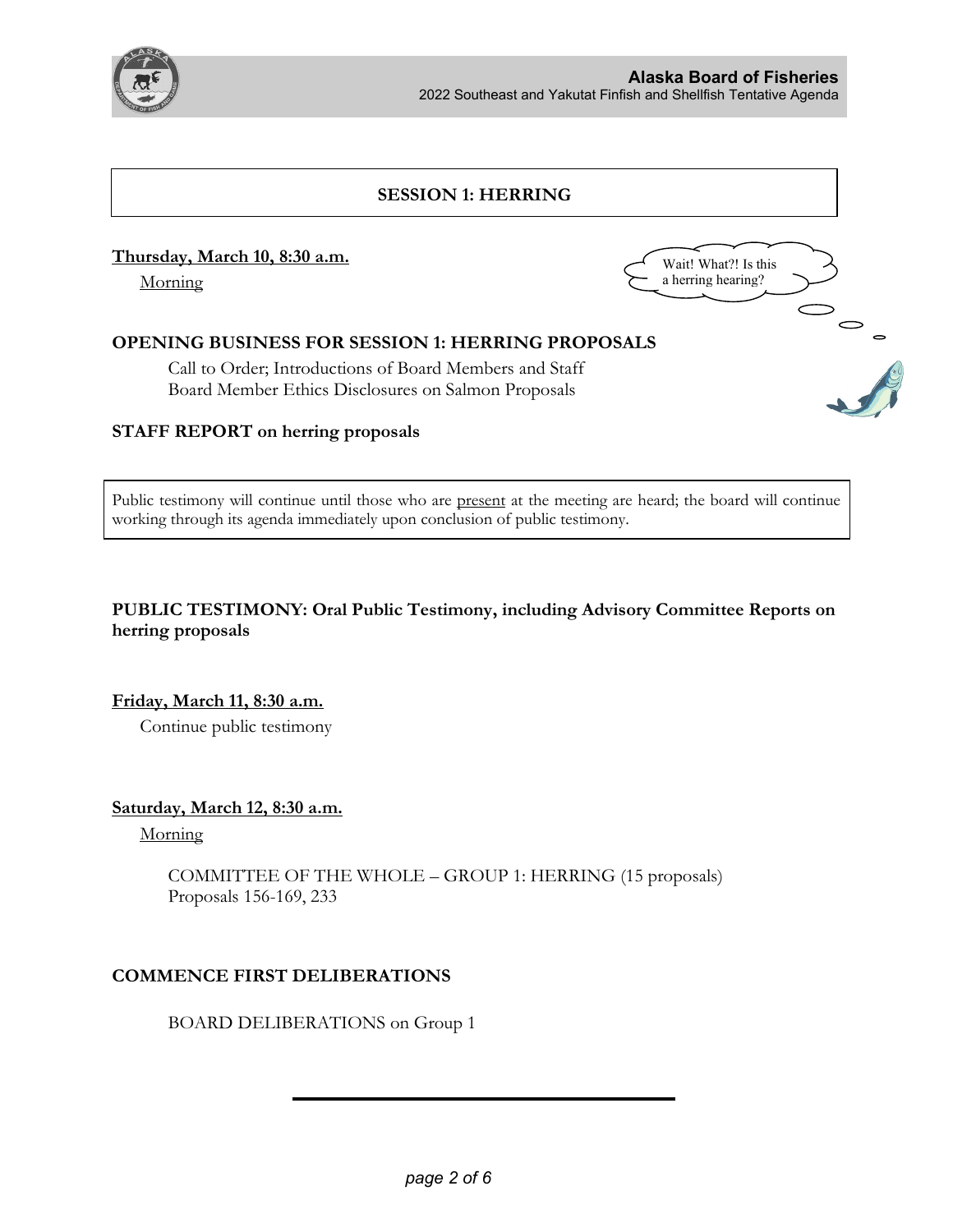

# **SESSION 1: HERRING**

#### **Thursday, March 10, 8:30 a.m.**

Morning



## **OPENING BUSINESS FOR SESSION 1: HERRING PROPOSALS**

Call to Order; Introductions of Board Members and Staff Board Member Ethics Disclosures on Salmon Proposals

### **STAFF REPORT on herring proposals**

Public testimony will continue until those who are present at the meeting are heard; the board will continue working through its agenda immediately upon conclusion of public testimony.

## **PUBLIC TESTIMONY: Oral Public Testimony, including Advisory Committee Reports on herring proposals**

**Friday, March 11, 8:30 a.m.**

Continue public testimony

**Saturday, March 12, 8:30 a.m.**

Morning

COMMITTEE OF THE WHOLE – GROUP 1: HERRING (15 proposals) Proposals 156-169, 233

### **COMMENCE FIRST DELIBERATIONS**

BOARD DELIBERATIONS on Group 1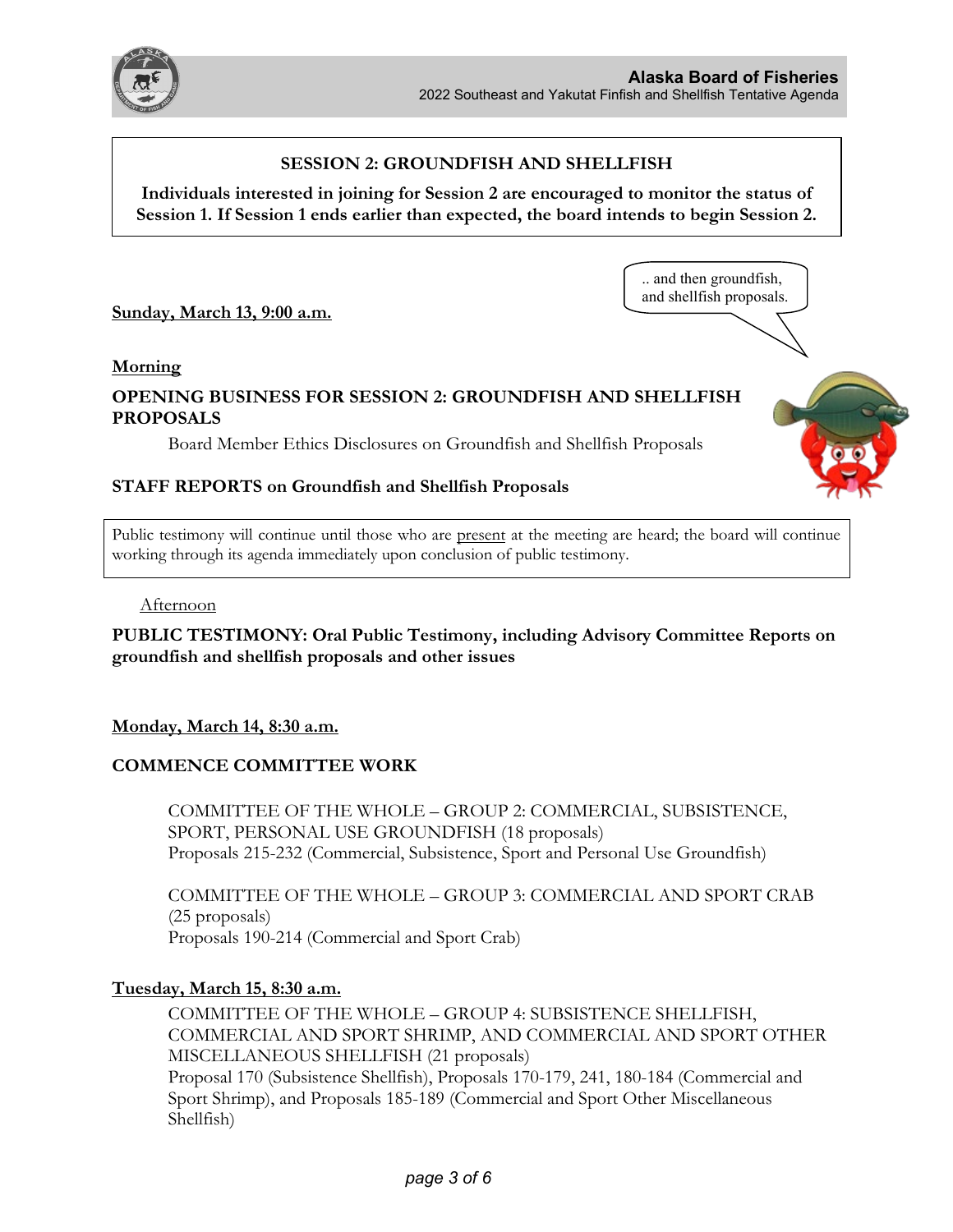

.. and then groundfish, and shellfish proposals.

#### **SESSION 2: GROUNDFISH AND SHELLFISH**

**Individuals interested in joining for Session 2 are encouraged to monitor the status of Session 1. If Session 1 ends earlier than expected, the board intends to begin Session 2.**

**Sunday, March 13, 9:00 a.m.**

#### **Morning**

# **OPENING BUSINESS FOR SESSION 2: GROUNDFISH AND SHELLFISH PROPOSALS**

Board Member Ethics Disclosures on Groundfish and Shellfish Proposals

#### **STAFF REPORTS on Groundfish and Shellfish Proposals**

Public testimony will continue until those who are present at the meeting are heard; the board will continue working through its agenda immediately upon conclusion of public testimony.

#### Afternoon

**PUBLIC TESTIMONY: Oral Public Testimony, including Advisory Committee Reports on groundfish and shellfish proposals and other issues**

#### **Monday, March 14, 8:30 a.m.**

### **COMMENCE COMMITTEE WORK**

COMMITTEE OF THE WHOLE – GROUP 2: COMMERCIAL, SUBSISTENCE, SPORT, PERSONAL USE GROUNDFISH (18 proposals) Proposals 215-232 (Commercial, Subsistence, Sport and Personal Use Groundfish)

COMMITTEE OF THE WHOLE – GROUP 3: COMMERCIAL AND SPORT CRAB (25 proposals) Proposals 190-214 (Commercial and Sport Crab)

#### **Tuesday, March 15, 8:30 a.m.**

COMMITTEE OF THE WHOLE – GROUP 4: SUBSISTENCE SHELLFISH, COMMERCIAL AND SPORT SHRIMP, AND COMMERCIAL AND SPORT OTHER MISCELLANEOUS SHELLFISH (21 proposals) Proposal 170 (Subsistence Shellfish), Proposals 170-179, 241, 180-184 (Commercial and Sport Shrimp), and Proposals 185-189 (Commercial and Sport Other Miscellaneous Shellfish)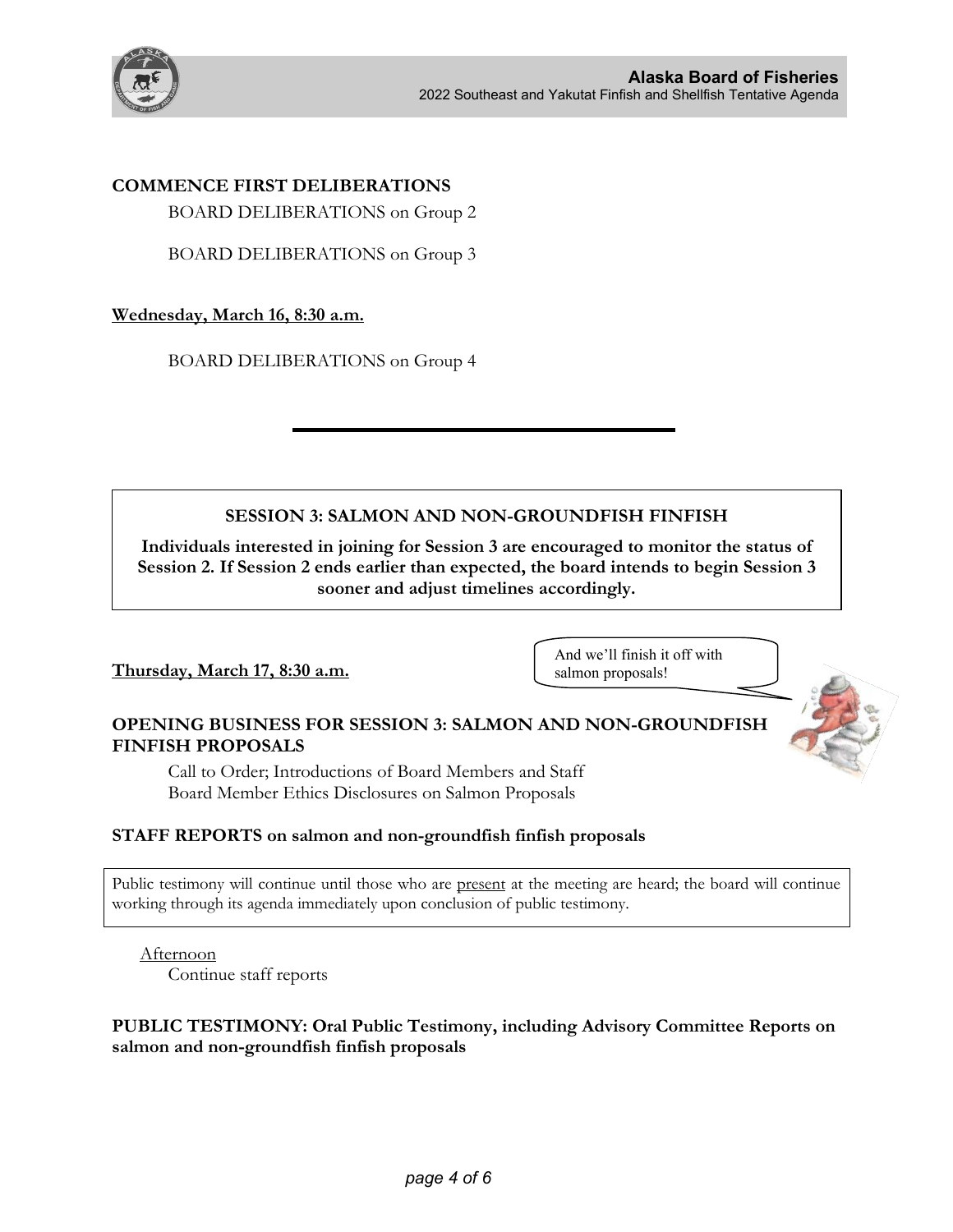

# **COMMENCE FIRST DELIBERATIONS**

BOARD DELIBERATIONS on Group 2

BOARD DELIBERATIONS on Group 3

### **Wednesday, March 16, 8:30 a.m.**

BOARD DELIBERATIONS on Group 4

# **SESSION 3: SALMON AND NON-GROUNDFISH FINFISH**

**Individuals interested in joining for Session 3 are encouraged to monitor the status of Session 2. If Session 2 ends earlier than expected, the board intends to begin Session 3 sooner and adjust timelines accordingly.**

# **Thursday, March 17, 8:30 a.m.**

And we'll finish it off with salmon proposals!

# **OPENING BUSINESS FOR SESSION 3: SALMON AND NON-GROUNDFISH FINFISH PROPOSALS**

Call to Order; Introductions of Board Members and Staff Board Member Ethics Disclosures on Salmon Proposals

### **STAFF REPORTS on salmon and non-groundfish finfish proposals**

Public testimony will continue until those who are present at the meeting are heard; the board will continue working through its agenda immediately upon conclusion of public testimony.

Afternoon Continue staff reports

## **PUBLIC TESTIMONY: Oral Public Testimony, including Advisory Committee Reports on salmon and non-groundfish finfish proposals**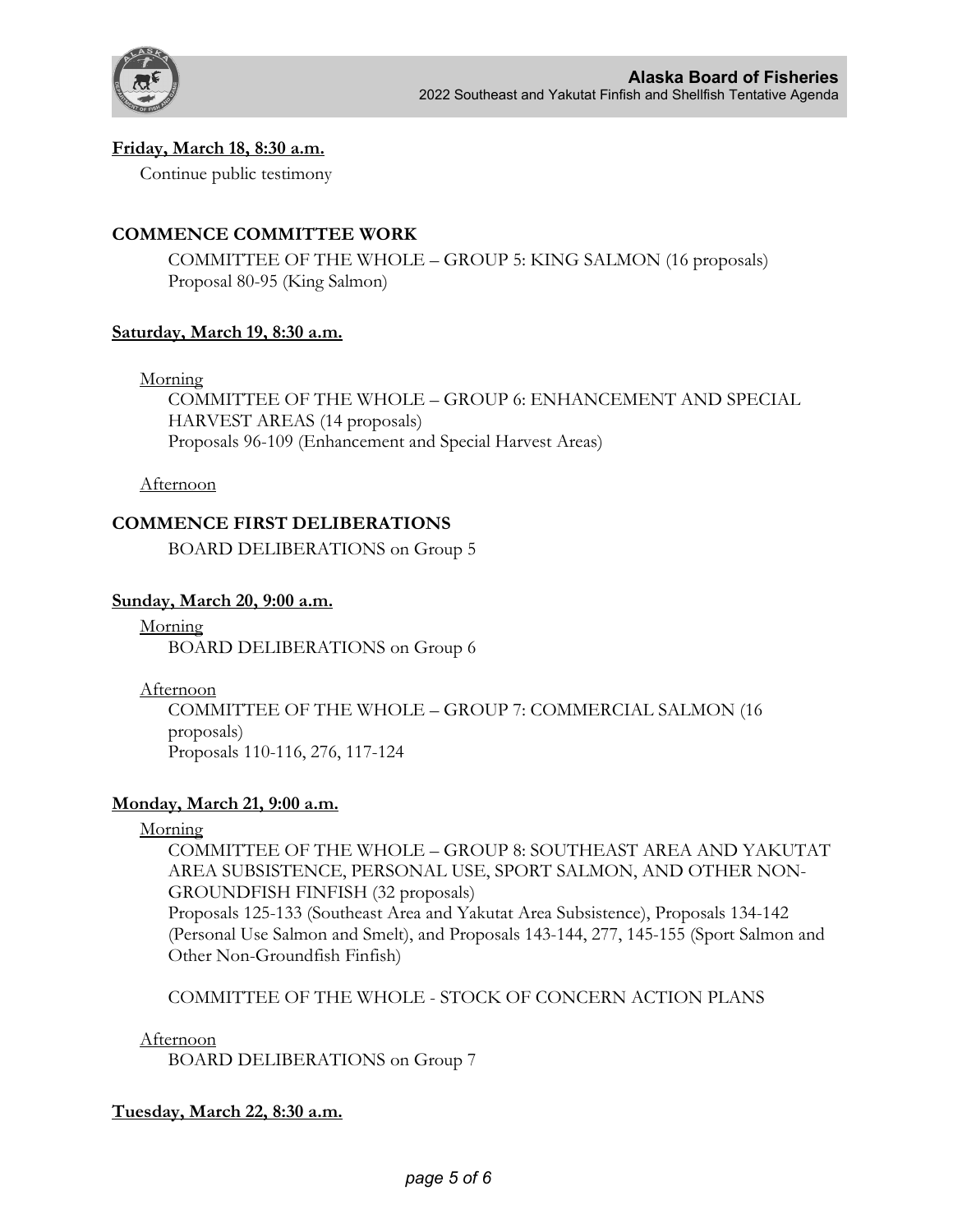

## **Friday, March 18, 8:30 a.m.**

Continue public testimony

# **COMMENCE COMMITTEE WORK**

COMMITTEE OF THE WHOLE – GROUP 5: KING SALMON (16 proposals) Proposal 80-95 (King Salmon)

## **Saturday, March 19, 8:30 a.m.**

Morning

COMMITTEE OF THE WHOLE – GROUP 6: ENHANCEMENT AND SPECIAL HARVEST AREAS (14 proposals) Proposals 96-109 (Enhancement and Special Harvest Areas)

Afternoon

## **COMMENCE FIRST DELIBERATIONS**

BOARD DELIBERATIONS on Group 5

### **Sunday, March 20, 9:00 a.m.**

Morning BOARD DELIBERATIONS on Group 6

Afternoon

COMMITTEE OF THE WHOLE – GROUP 7: COMMERCIAL SALMON (16 proposals) Proposals 110-116, 276, 117-124

### **Monday, March 21, 9:00 a.m.**

Morning

COMMITTEE OF THE WHOLE – GROUP 8: SOUTHEAST AREA AND YAKUTAT AREA SUBSISTENCE, PERSONAL USE, SPORT SALMON, AND OTHER NON-GROUNDFISH FINFISH (32 proposals)

Proposals 125-133 (Southeast Area and Yakutat Area Subsistence), Proposals 134-142 (Personal Use Salmon and Smelt), and Proposals 143-144, 277, 145-155 (Sport Salmon and Other Non-Groundfish Finfish)

COMMITTEE OF THE WHOLE - STOCK OF CONCERN ACTION PLANS

Afternoon

BOARD DELIBERATIONS on Group 7

# **Tuesday, March 22, 8:30 a.m.**